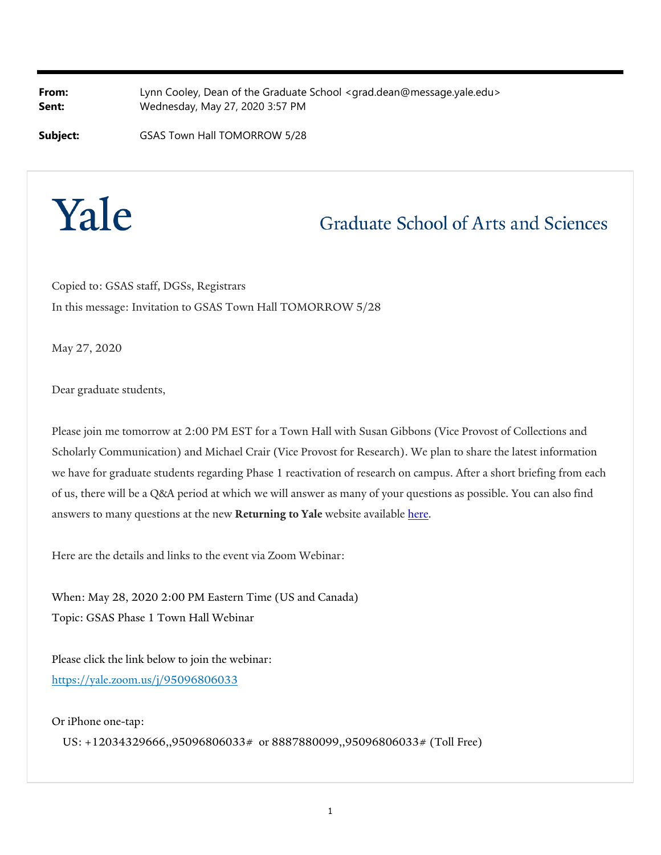**From:** Lynn Cooley, Dean of the Graduate School <grad.dean@message.yale.edu> **Sent:** Wednesday, May 27, 2020 3:57 PM

**Subject:** GSAS Town Hall TOMORROW 5/28



## **Graduate School of Arts and Sciences**

Copied to: GSAS staff, DGSs, Registrars In this message: Invitation to GSAS Town Hall TOMORROW 5/28

May 27, 2020

Dear graduate students,

Please join me tomorrow at 2:00 PM EST for a Town Hall with Susan Gibbons (Vice Provost of Collections and Scholarly Communication) and Michael Crair (Vice Provost for Research). We plan to share the latest information we have for graduate students regarding Phase 1 reactivation of research on campus. After a short briefing from each of us, there will be a Q&A period at which we will answer as many of your questions as possible. You can also find answers to many questions at the new **Returning to Yale** website available here.

Here are the details and links to the event via Zoom Webinar:

When: May 28, 2020 2:00 PM Eastern Time (US and Canada) Topic: GSAS Phase 1 Town Hall Webinar

Please click the link below to join the webinar: https://yale.zoom.us/j/95096806033

Or iPhone one-tap:

US: +12034329666,,95096806033# or 8887880099,,95096806033# (Toll Free)